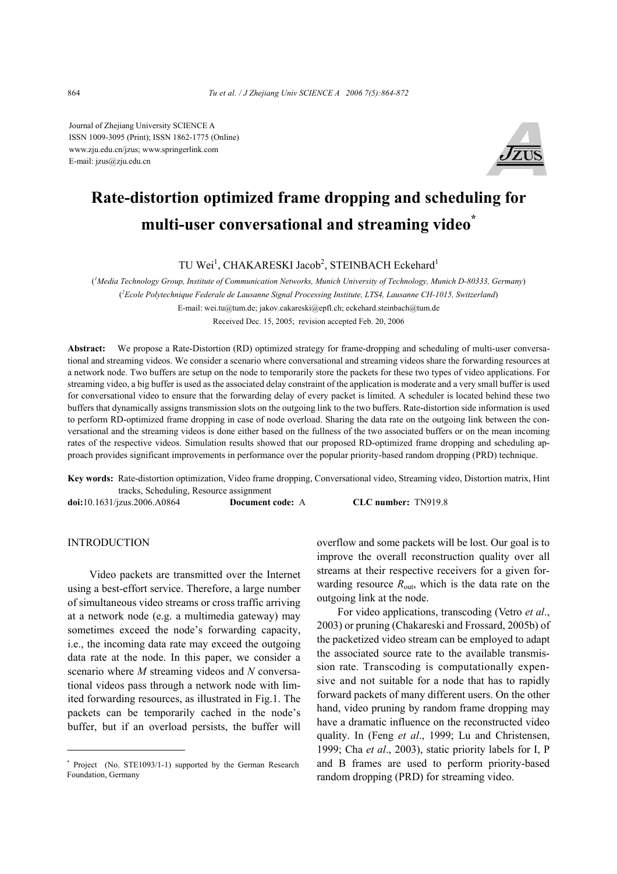Journal of Zhejiang University SCIENCE A ISSN 1009-3095 (Print); ISSN 1862-1775 (Online) www.zju.edu.cn/jzus; www.springerlink.com E-mail: jzus@zju.edu.cn



# **Rate-distortion optimized frame dropping and scheduling for multi-user conversational and streaming video\***

TU Wei<sup>1</sup>, CHAKARESKI Jacob<sup>2</sup>, STEINBACH Eckehard<sup>1</sup>

( *1 Media Technology Group, Institute of Communication Networks, Munich University of Technology, Munich D-80333, Germany*) ( *2 Ecole Polytechnique Federale de Lausanne Signal Processing Institute, LTS4, Lausanne CH-1015, Switzerland*) E-mail: wei.tu@tum.de; jakov.cakareski@epfl.ch; eckehard.steinbach@tum.de Received Dec. 15, 2005; revision accepted Feb. 20, 2006

**Abstract:** We propose a Rate-Distortion (RD) optimized strategy for frame-dropping and scheduling of multi-user conversational and streaming videos. We consider a scenario where conversational and streaming videos share the forwarding resources at a network node. Two buffers are setup on the node to temporarily store the packets for these two types of video applications. For streaming video, a big buffer is used as the associated delay constraint of the application is moderate and a very small buffer is used for conversational video to ensure that the forwarding delay of every packet is limited. A scheduler is located behind these two buffers that dynamically assigns transmission slots on the outgoing link to the two buffers. Rate-distortion side information is used to perform RD-optimized frame dropping in case of node overload. Sharing the data rate on the outgoing link between the conversational and the streaming videos is done either based on the fullness of the two associated buffers or on the mean incoming rates of the respective videos. Simulation results showed that our proposed RD-optimized frame dropping and scheduling approach provides significant improvements in performance over the popular priority-based random dropping (PRD) technique.

**Key words:** Rate-distortion optimization, Video frame dropping, Conversational video, Streaming video, Distortion matrix, Hint tracks, Scheduling, Resource assignment

**doi:**10.1631/jzus.2006.A0864 **Document code:** A **CLC number:** TN919.8

## **INTRODUCTION**

Video packets are transmitted over the Internet using a best-effort service. Therefore, a large number of simultaneous video streams or cross traffic arriving at a network node (e.g. a multimedia gateway) may sometimes exceed the node's forwarding capacity, i.e., the incoming data rate may exceed the outgoing data rate at the node. In this paper, we consider a scenario where *M* streaming videos and *N* conversational videos pass through a network node with limited forwarding resources, as illustrated in Fig.1. The packets can be temporarily cached in the node's buffer, but if an overload persists, the buffer will

overflow and some packets will be lost. Our goal is to improve the overall reconstruction quality over all streams at their respective receivers for a given forwarding resource  $R_{\text{out}}$ , which is the data rate on the outgoing link at the node.

For video applications, transcoding (Vetro *et al*., 2003) or pruning (Chakareski and Frossard, 2005b) of the packetized video stream can be employed to adapt the associated source rate to the available transmission rate. Transcoding is computationally expensive and not suitable for a node that has to rapidly forward packets of many different users. On the other hand, video pruning by random frame dropping may have a dramatic influence on the reconstructed video quality. In (Feng *et al*., 1999; Lu and Christensen, 1999; Cha *et al*., 2003), static priority labels for I, P and B frames are used to perform priority-based random dropping (PRD) for streaming video.

<sup>\*</sup> Project (No. STE1093/1-1) supported by the German Research Foundation, Germany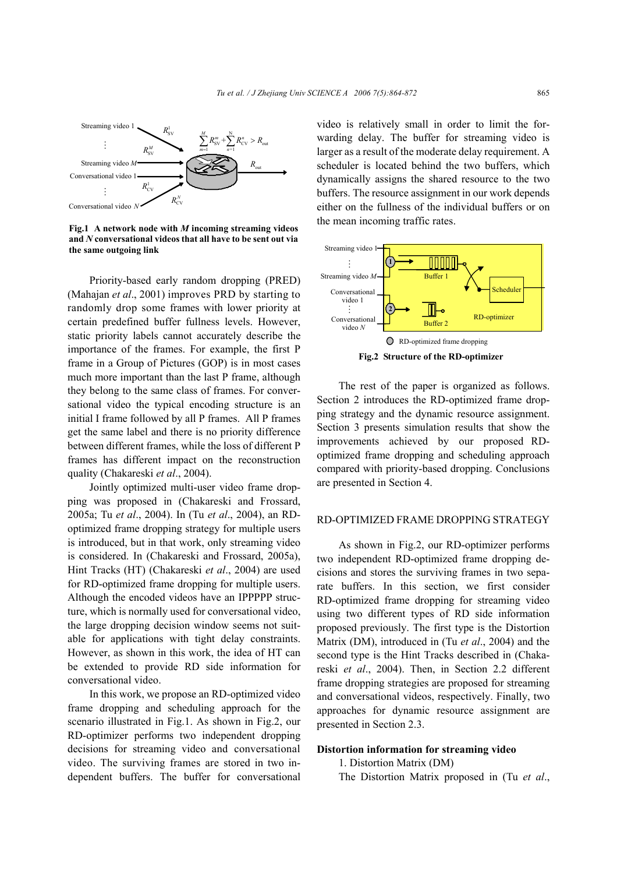

**Fig.1 A network node with** *M* **incoming streaming videos and** *N* **conversational videos that all have to be sent out via the same outgoing link**

Priority-based early random dropping (PRED) (Mahajan *et al*., 2001) improves PRD by starting to randomly drop some frames with lower priority at certain predefined buffer fullness levels. However, static priority labels cannot accurately describe the importance of the frames. For example, the first P frame in a Group of Pictures (GOP) is in most cases much more important than the last P frame, although they belong to the same class of frames. For conversational video the typical encoding structure is an initial I frame followed by all P frames. All P frames get the same label and there is no priority difference between different frames, while the loss of different P frames has different impact on the reconstruction quality (Chakareski *et al*., 2004).

Jointly optimized multi-user video frame dropping was proposed in (Chakareski and Frossard, 2005a; Tu *et al*., 2004). In (Tu *et al*., 2004), an RDoptimized frame dropping strategy for multiple users is introduced, but in that work, only streaming video is considered. In (Chakareski and Frossard, 2005a), Hint Tracks (HT) (Chakareski *et al*., 2004) are used for RD-optimized frame dropping for multiple users. Although the encoded videos have an IPPPPP structure, which is normally used for conversational video, the large dropping decision window seems not suitable for applications with tight delay constraints. However, as shown in this work, the idea of HT can be extended to provide RD side information for conversational video.

In this work, we propose an RD-optimized video frame dropping and scheduling approach for the scenario illustrated in Fig.1. As shown in Fig.2, our RD-optimizer performs two independent dropping decisions for streaming video and conversational video. The surviving frames are stored in two independent buffers. The buffer for conversational

video is relatively small in order to limit the forwarding delay. The buffer for streaming video is larger as a result of the moderate delay requirement. A scheduler is located behind the two buffers, which dynamically assigns the shared resource to the two buffers. The resource assignment in our work depends either on the fullness of the individual buffers or on the mean incoming traffic rates.





The rest of the paper is organized as follows. Section 2 introduces the RD-optimized frame dropping strategy and the dynamic resource assignment. Section 3 presents simulation results that show the improvements achieved by our proposed RDoptimized frame dropping and scheduling approach compared with priority-based dropping. Conclusions are presented in Section 4.

## RD-OPTIMIZED FRAME DROPPING STRATEGY

As shown in Fig.2, our RD-optimizer performs two independent RD-optimized frame dropping decisions and stores the surviving frames in two separate buffers. In this section, we first consider RD-optimized frame dropping for streaming video using two different types of RD side information proposed previously. The first type is the Distortion Matrix (DM), introduced in (Tu *et al*., 2004) and the second type is the Hint Tracks described in (Chakareski *et al*., 2004). Then, in Section 2.2 different frame dropping strategies are proposed for streaming and conversational videos, respectively. Finally, two approaches for dynamic resource assignment are presented in Section 2.3.

#### **Distortion information for streaming video**

1. Distortion Matrix (DM)

The Distortion Matrix proposed in (Tu *et al*.,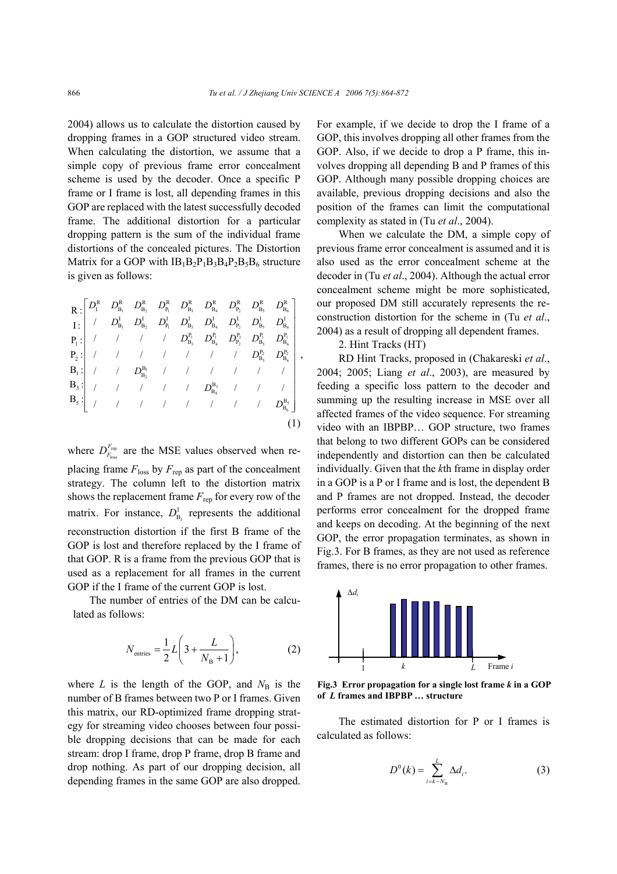2004) allows us to calculate the distortion caused by dropping frames in a GOP structured video stream. When calculating the distortion, we assume that a simple copy of previous frame error concealment scheme is used by the decoder. Once a specific P frame or I frame is lost, all depending frames in this GOP are replaced with the latest successfully decoded frame. The additional distortion for a particular dropping pattern is the sum of the individual frame distortions of the concealed pictures. The Distortion Matrix for a GOP with  $IB_1B_2P_1B_3B_4P_2B_5B_6$  structure is given as follows:

$$
\begin{array}{l|ccccccccccccccccccc|}\hline R: & D_1^R & D_{B_1}^R & D_{B_2}^R & D_{B_1}^R & D_{B_3}^R & D_{B_4}^R & D_{B_2}^R & D_{B_5}^R & D_{B_6}^R & \\ I: & / & D_{B_1}^I & D_{B_2}^I & D_{B_1}^I & D_{B_3}^I & D_{B_2}^I & D_{B_3}^I & D_{B_4}^I & D_{B_5}^I & D_{B_6}^I & \\ P_1: & / & / & / & D_{B_3}^P & D_{B_4}^P & D_{B_2}^P & D_{B_5}^P & D_{B_6}^P & \\ P_2: & / & / & / & / & / & / & D_{B_5}^P & D_{B_5}^P & D_{B_6}^P & \\ B_1: & / & / & D_{B_2}^B & / & / & / & / & / & / & / & \\ B_3: & / & / & / & / & / & / & D_{B_3}^B & / & / & / & / & \\ B_5: & / & / & / & / & / & / & / & D_{B_6}^B & \\ \hline \end{array},
$$

where  $D_{F_{\text{loss}}}^{F_{\text{rep}}}$  are the MSE values observed when replacing frame *F*loss by *F*rep as part of the concealment strategy. The column left to the distortion matrix shows the replacement frame  $F_{\text{rep}}$  for every row of the matrix. For instance,  $D_{B_1}^I$  represents the additional reconstruction distortion if the first B frame of the GOP is lost and therefore replaced by the I frame of that GOP. R is a frame from the previous GOP that is used as a replacement for all frames in the current GOP if the I frame of the current GOP is lost.

The number of entries of the DM can be calculated as follows:

$$
N_{\text{entries}} = \frac{1}{2} L \left( 3 + \frac{L}{N_{\text{B}} + 1} \right),\tag{2}
$$

where  $L$  is the length of the GOP, and  $N_B$  is the number of B frames between two P or I frames. Given this matrix, our RD-optimized frame dropping strategy for streaming video chooses between four possible dropping decisions that can be made for each stream: drop I frame, drop P frame, drop B frame and drop nothing. As part of our dropping decision, all depending frames in the same GOP are also dropped. For example, if we decide to drop the I frame of a GOP, this involves dropping all other frames from the GOP. Also, if we decide to drop a P frame, this involves dropping all depending B and P frames of this GOP. Although many possible dropping choices are available, previous dropping decisions and also the position of the frames can limit the computational complexity as stated in (Tu *et al*., 2004).

When we calculate the DM, a simple copy of previous frame error concealment is assumed and it is also used as the error concealment scheme at the decoder in (Tu *et al*., 2004). Although the actual error concealment scheme might be more sophisticated, our proposed DM still accurately represents the reconstruction distortion for the scheme in (Tu *et al*., 2004) as a result of dropping all dependent frames.

2. Hint Tracks (HT)

RD Hint Tracks, proposed in (Chakareski *et al*., 2004; 2005; Liang *et al*., 2003), are measured by feeding a specific loss pattern to the decoder and summing up the resulting increase in MSE over all affected frames of the video sequence. For streaming video with an IBPBP… GOP structure, two frames that belong to two different GOPs can be considered independently and distortion can then be calculated individually. Given that the *k*th frame in display order in a GOP is a P or I frame and is lost, the dependent B and P frames are not dropped. Instead, the decoder performs error concealment for the dropped frame and keeps on decoding. At the beginning of the next GOP, the error propagation terminates, as shown in Fig.3. For B frames, as they are not used as reference frames, there is no error propagation to other frames.



**Fig.3 Error propagation for a single lost frame** *k* **in a GOP of** *L* **frames and IBPBP … structure** 

The estimated distortion for P or I frames is calculated as follows:

$$
D^{0}(k) = \sum_{i=k-N_{\rm B}}^{L} \Delta d_{i}.
$$
 (3)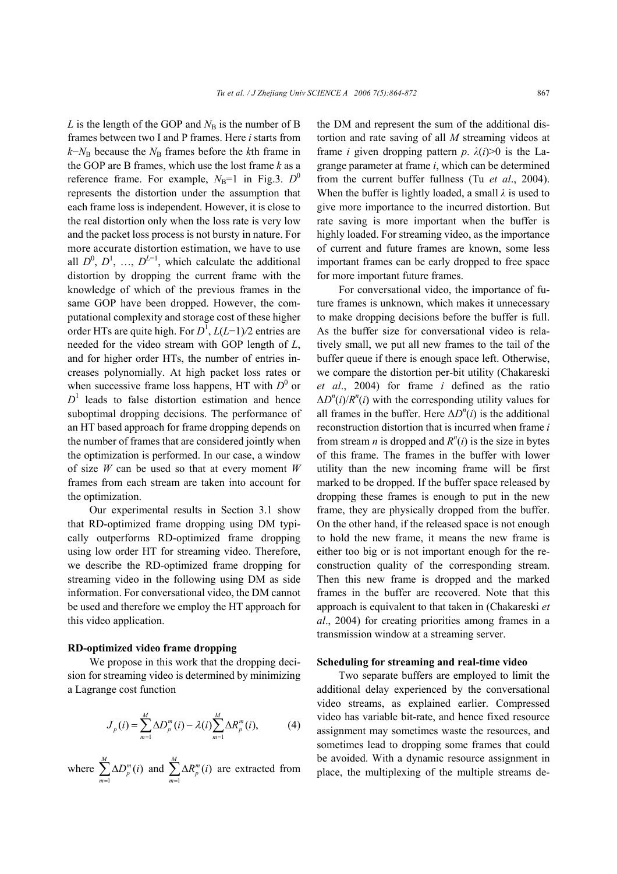$L$  is the length of the GOP and  $N_B$  is the number of B frames between two I and P frames. Here *i* starts from  $k$ − $N_B$  because the  $N_B$  frames before the *k*th frame in the GOP are B frames, which use the lost frame *k* as a reference frame. For example,  $N_B=1$  in Fig.3.  $D^0$ represents the distortion under the assumption that each frame loss is independent. However, it is close to the real distortion only when the loss rate is very low and the packet loss process is not bursty in nature. For more accurate distortion estimation, we have to use all  $D^0$ ,  $D^1$ , ...,  $D^{L-1}$ , which calculate the additional distortion by dropping the current frame with the knowledge of which of the previous frames in the same GOP have been dropped. However, the computational complexity and storage cost of these higher order HTs are quite high. For *D*<sup>1</sup> , *L*(*L*−1)*/*2 entries are needed for the video stream with GOP length of *L*, and for higher order HTs, the number of entries increases polynomially. At high packet loss rates or when successive frame loss happens, HT with  $D^0$  or  $D<sup>1</sup>$  leads to false distortion estimation and hence suboptimal dropping decisions. The performance of an HT based approach for frame dropping depends on the number of frames that are considered jointly when the optimization is performed. In our case, a window of size *W* can be used so that at every moment *W* frames from each stream are taken into account for the optimization.

Our experimental results in Section 3.1 show that RD-optimized frame dropping using DM typically outperforms RD-optimized frame dropping using low order HT for streaming video. Therefore, we describe the RD-optimized frame dropping for streaming video in the following using DM as side information. For conversational video, the DM cannot be used and therefore we employ the HT approach for this video application.

### **RD-optimized video frame dropping**

We propose in this work that the dropping decision for streaming video is determined by minimizing a Lagrange cost function

$$
J_p(i) = \sum_{m=1}^{M} \Delta D_p^{m}(i) - \lambda(i) \sum_{m=1}^{M} \Delta R_p^{m}(i),
$$
 (4)

where  $\sum_{m=1}^{M} \Delta D_p^m(i)$  $D_{n}^{m}(i)$  $\sum_{m=1}^{M} \Delta D_p^m(i)$  and  $\sum_{m=1}^{M} \Delta R_p^m(i)$  $R_n^m(i)$  $\sum_{m=1}^{\infty} \Delta R_p^m(i)$  are extracted from the DM and represent the sum of the additional distortion and rate saving of all *M* streaming videos at frame *i* given dropping pattern *p*.  $\lambda(i) > 0$  is the Lagrange parameter at frame *i*, which can be determined from the current buffer fullness (Tu *et al*., 2004). When the buffer is lightly loaded, a small *λ* is used to give more importance to the incurred distortion. But rate saving is more important when the buffer is highly loaded. For streaming video, as the importance of current and future frames are known, some less important frames can be early dropped to free space for more important future frames.

For conversational video, the importance of future frames is unknown, which makes it unnecessary to make dropping decisions before the buffer is full. As the buffer size for conversational video is relatively small, we put all new frames to the tail of the buffer queue if there is enough space left. Otherwise, we compare the distortion per-bit utility (Chakareski *et al*., 2004) for frame *i* defined as the ratio  $\Delta D^n(i)/R^n(i)$  with the corresponding utility values for all frames in the buffer. Here  $\Delta D^n(i)$  is the additional reconstruction distortion that is incurred when frame *i* from stream *n* is dropped and  $R^n(i)$  is the size in bytes of this frame. The frames in the buffer with lower utility than the new incoming frame will be first marked to be dropped. If the buffer space released by dropping these frames is enough to put in the new frame, they are physically dropped from the buffer. On the other hand, if the released space is not enough to hold the new frame, it means the new frame is either too big or is not important enough for the reconstruction quality of the corresponding stream. Then this new frame is dropped and the marked frames in the buffer are recovered. Note that this approach is equivalent to that taken in (Chakareski *et al*., 2004) for creating priorities among frames in a transmission window at a streaming server.

### **Scheduling for streaming and real-time video**

Two separate buffers are employed to limit the additional delay experienced by the conversational video streams, as explained earlier. Compressed video has variable bit-rate, and hence fixed resource assignment may sometimes waste the resources, and sometimes lead to dropping some frames that could be avoided. With a dynamic resource assignment in place, the multiplexing of the multiple streams de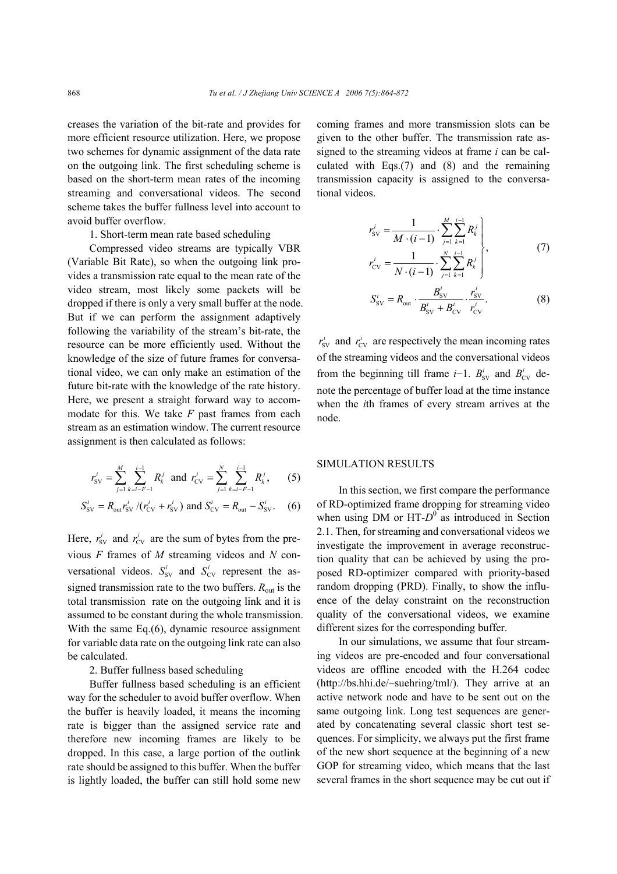creases the variation of the bit-rate and provides for more efficient resource utilization. Here, we propose two schemes for dynamic assignment of the data rate on the outgoing link. The first scheduling scheme is based on the short-term mean rates of the incoming streaming and conversational videos. The second scheme takes the buffer fullness level into account to avoid buffer overflow.

1. Short-term mean rate based scheduling

Compressed video streams are typically VBR (Variable Bit Rate), so when the outgoing link provides a transmission rate equal to the mean rate of the video stream, most likely some packets will be dropped if there is only a very small buffer at the node. But if we can perform the assignment adaptively following the variability of the stream's bit-rate, the resource can be more efficiently used. Without the knowledge of the size of future frames for conversational video, we can only make an estimation of the future bit-rate with the knowledge of the rate history. Here, we present a straight forward way to accommodate for this. We take *F* past frames from each stream as an estimation window. The current resource assignment is then calculated as follows:

$$
r_{\rm SV}^i = \sum_{j=1}^M \sum_{k=i-F-1}^{i-1} R_k^j \text{ and } r_{\rm CV}^i = \sum_{j=1}^N \sum_{k=i-F-1}^{i-1} R_k^j, \qquad (5)
$$

$$
S_{\text{SV}}^i = R_{\text{out}} r_{\text{SV}}^i / (r_{\text{CV}}^i + r_{\text{SV}}^i)
$$
 and  $S_{\text{CV}}^i = R_{\text{out}} - S_{\text{SV}}^i$ . (6)

Here,  $r_{SV}^i$  and  $r_{CV}^i$  are the sum of bytes from the previous *F* frames of *M* streaming videos and *N* conversational videos.  $S_{SV}^{i}$  and  $S_{CV}^{i}$  represent the assigned transmission rate to the two buffers.  $R_{\text{out}}$  is the total transmission rate on the outgoing link and it is assumed to be constant during the whole transmission. With the same Eq.(6), dynamic resource assignment for variable data rate on the outgoing link rate can also be calculated.

2. Buffer fullness based scheduling

Buffer fullness based scheduling is an efficient way for the scheduler to avoid buffer overflow. When the buffer is heavily loaded, it means the incoming rate is bigger than the assigned service rate and therefore new incoming frames are likely to be dropped. In this case, a large portion of the outlink rate should be assigned to this buffer. When the buffer is lightly loaded, the buffer can still hold some new coming frames and more transmission slots can be given to the other buffer. The transmission rate assigned to the streaming videos at frame *i* can be calculated with Eqs.(7) and (8) and the remaining transmission capacity is assigned to the conversational videos.

$$
r_{\rm SV}^i = \frac{1}{M \cdot (i-1)} \cdot \sum_{j=1}^M \sum_{k=1}^{i-1} R_k^j
$$
  
\n
$$
r_{\rm CV}^i = \frac{1}{N \cdot (i-1)} \cdot \sum_{j=1}^N \sum_{k=1}^{i-1} R_k^j
$$
 (7)

$$
S_{\rm SV}^i = R_{\rm out} \cdot \frac{B_{\rm SV}^i}{B_{\rm SV}^i + B_{\rm CV}^i} \cdot \frac{r_{\rm SV}^i}{r_{\rm CV}^i}.
$$
 (8)

 $r_{\rm sv}^i$  and  $r_{\rm cv}^i$  are respectively the mean incoming rates of the streaming videos and the conversational videos from the beginning till frame *i*−1.  $B_{SV}^{i}$  and  $B_{CV}^{i}$  denote the percentage of buffer load at the time instance when the *i*th frames of every stream arrives at the node.

## SIMULATION RESULTS

In this section, we first compare the performance of RD-optimized frame dropping for streaming video when using DM or  $HT-D^0$  as introduced in Section 2.1. Then, for streaming and conversational videos we investigate the improvement in average reconstruction quality that can be achieved by using the proposed RD-optimizer compared with priority-based random dropping (PRD). Finally, to show the influence of the delay constraint on the reconstruction quality of the conversational videos, we examine different sizes for the corresponding buffer.

In our simulations, we assume that four streaming videos are pre-encoded and four conversational videos are offline encoded with the H.264 codec (http://bs.hhi.de/~suehring/tml/). They arrive at an active network node and have to be sent out on the same outgoing link. Long test sequences are generated by concatenating several classic short test sequences. For simplicity, we always put the first frame of the new short sequence at the beginning of a new GOP for streaming video, which means that the last several frames in the short sequence may be cut out if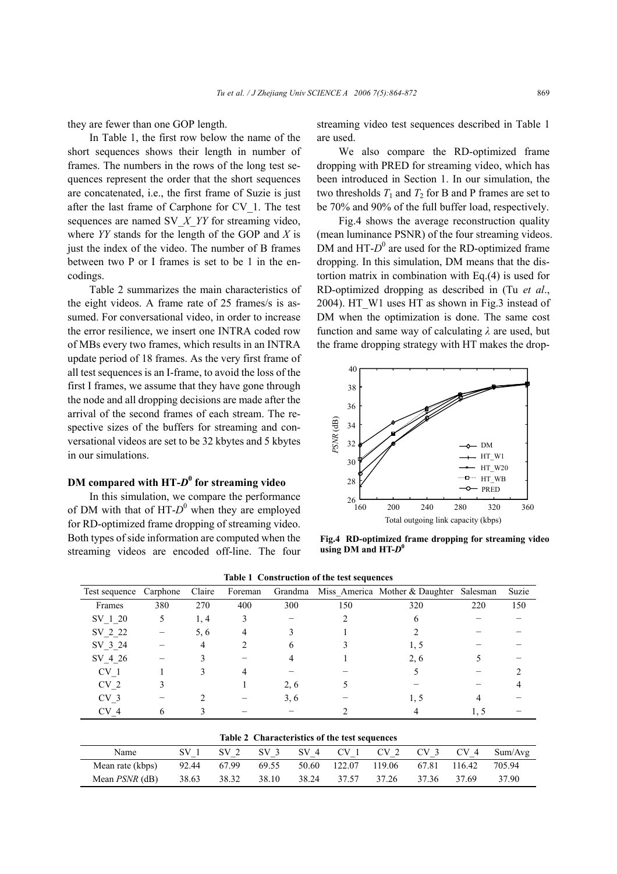they are fewer than one GOP length.

In Table 1, the first row below the name of the short sequences shows their length in number of frames. The numbers in the rows of the long test sequences represent the order that the short sequences are concatenated, i.e., the first frame of Suzie is just after the last frame of Carphone for CV\_1. The test sequences are named SV\_*X*\_*YY* for streaming video, where *YY* stands for the length of the GOP and *X* is just the index of the video. The number of B frames between two P or I frames is set to be 1 in the encodings.

Table 2 summarizes the main characteristics of the eight videos. A frame rate of 25 frames/s is assumed. For conversational video, in order to increase the error resilience, we insert one INTRA coded row of MBs every two frames, which results in an INTRA update period of 18 frames. As the very first frame of all test sequences is an I-frame, to avoid the loss of the first I frames, we assume that they have gone through the node and all dropping decisions are made after the arrival of the second frames of each stream. The respective sizes of the buffers for streaming and conversational videos are set to be 32 kbytes and 5 kbytes in our simulations.

## **DM compared with HT-***D***<sup>0</sup> for streaming video**

In this simulation, we compare the performance of DM with that of  $HT-D^0$  when they are employed for RD-optimized frame dropping of streaming video. Both types of side information are computed when the streaming videos are encoded off-line. The four

streaming video test sequences described in Table 1 are used.

We also compare the RD-optimized frame dropping with PRED for streaming video, which has been introduced in Section 1. In our simulation, the two thresholds  $T_1$  and  $T_2$  for B and P frames are set to be 70% and 90% of the full buffer load, respectively.

Fig.4 shows the average reconstruction quality (mean luminance PSNR) of the four streaming videos. DM and  $HT-D^0$  are used for the RD-optimized frame dropping. In this simulation, DM means that the distortion matrix in combination with Eq.(4) is used for RD-optimized dropping as described in (Tu *et al*., 2004). HT\_W1 uses HT as shown in Fig.3 instead of DM when the optimization is done. The same cost function and same way of calculating *λ* are used, but the frame dropping strategy with HT makes the drop-



**Fig.4 RD-optimized frame dropping for streaming video** using DM and  $HT-D^0$ 

| Table 1 Construction of the test sequences                                                                                                                           |          |        |         |         |     |                                         |      |       |  |  |  |  |  |
|----------------------------------------------------------------------------------------------------------------------------------------------------------------------|----------|--------|---------|---------|-----|-----------------------------------------|------|-------|--|--|--|--|--|
| Test sequence                                                                                                                                                        | Carphone | Claire | Foreman | Grandma |     | Miss America Mother & Daughter Salesman |      | Suzie |  |  |  |  |  |
| Frames                                                                                                                                                               | 380      | 270    | 400     | 300     | 150 | 320                                     | 220  | 150   |  |  |  |  |  |
| SV 1 20                                                                                                                                                              | 5        | 1, 4   | 3       |         |     | 6                                       |      |       |  |  |  |  |  |
| SV 2 22                                                                                                                                                              |          | 5, 6   | 4       |         |     |                                         |      |       |  |  |  |  |  |
| SV 3 24                                                                                                                                                              |          | 4      |         | 6       |     | 1, 5                                    |      |       |  |  |  |  |  |
| SV 4 26                                                                                                                                                              |          |        |         |         |     | 2, 6                                    |      |       |  |  |  |  |  |
| CV <sub>1</sub>                                                                                                                                                      |          | 3      | 4       |         |     |                                         |      |       |  |  |  |  |  |
| CV <sub>2</sub>                                                                                                                                                      |          |        |         | 2, 6    |     |                                         |      |       |  |  |  |  |  |
| CV <sub>3</sub>                                                                                                                                                      |          |        |         | 3, 6    |     | 1, 5                                    | 4    |       |  |  |  |  |  |
| CV 4                                                                                                                                                                 | 6        |        |         |         |     |                                         | 1, 5 |       |  |  |  |  |  |
| $\mathbf{T}$ . In the $\mathbf{A}$ defined by the state of $\mathbf{A}$ and $\mathbf{A}$ and $\mathbf{A}$ are all $\mathbf{A}$ and $\mathbf{A}$ are all $\mathbf{A}$ |          |        |         |         |     |                                         |      |       |  |  |  |  |  |

| Table 2 Characteristics of the test sequences |       |                 |                 |       |              |                |                 |        |              |  |  |  |
|-----------------------------------------------|-------|-----------------|-----------------|-------|--------------|----------------|-----------------|--------|--------------|--|--|--|
| Name                                          | SV 1  | SV <sub>2</sub> | SV <sub>3</sub> |       |              | SV 4 CV 1 CV 2 | CV <sub>3</sub> |        | CV 4 Sum/Avg |  |  |  |
| Mean rate (kbps)                              | 92.44 | 67.99           | 69.55           |       | 50.60 122.07 | 119.06         | 67.81           | 116.42 | 705.94       |  |  |  |
| Mean $PSNR$ (dB)                              | 38.63 | 38.32           | 38.10           | 38.24 | $-37.57$     | 37 26          | 37.36           | 37.69  | 37.90        |  |  |  |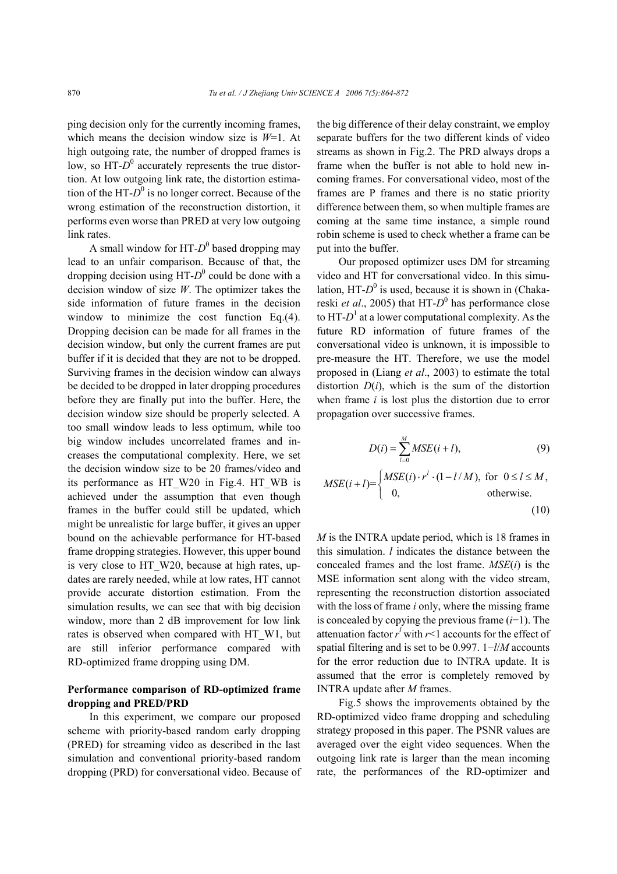ping decision only for the currently incoming frames, which means the decision window size is *W*=1. At high outgoing rate, the number of dropped frames is low, so  $HT-D^0$  accurately represents the true distortion. At low outgoing link rate, the distortion estimation of the HT- $D^0$  is no longer correct. Because of the wrong estimation of the reconstruction distortion, it performs even worse than PRED at very low outgoing link rates.

A small window for HT- $D^0$  based dropping may lead to an unfair comparison. Because of that, the dropping decision using  $HT-D^0$  could be done with a decision window of size *W*. The optimizer takes the side information of future frames in the decision window to minimize the cost function Eq.(4). Dropping decision can be made for all frames in the decision window, but only the current frames are put buffer if it is decided that they are not to be dropped. Surviving frames in the decision window can always be decided to be dropped in later dropping procedures before they are finally put into the buffer. Here, the decision window size should be properly selected. A too small window leads to less optimum, while too big window includes uncorrelated frames and increases the computational complexity. Here, we set the decision window size to be 20 frames/video and its performance as HT\_W20 in Fig.4. HT\_WB is achieved under the assumption that even though frames in the buffer could still be updated, which might be unrealistic for large buffer, it gives an upper bound on the achievable performance for HT-based frame dropping strategies. However, this upper bound is very close to HT\_W20, because at high rates, updates are rarely needed, while at low rates, HT cannot provide accurate distortion estimation. From the simulation results, we can see that with big decision window, more than 2 dB improvement for low link rates is observed when compared with HT\_W1, but are still inferior performance compared with RD-optimized frame dropping using DM.

## **Performance comparison of RD-optimized frame dropping and PRED/PRD**

In this experiment, we compare our proposed scheme with priority-based random early dropping (PRED) for streaming video as described in the last simulation and conventional priority-based random dropping (PRD) for conversational video. Because of the big difference of their delay constraint, we employ separate buffers for the two different kinds of video streams as shown in Fig.2. The PRD always drops a frame when the buffer is not able to hold new incoming frames. For conversational video, most of the frames are P frames and there is no static priority difference between them, so when multiple frames are coming at the same time instance, a simple round robin scheme is used to check whether a frame can be put into the buffer.

Our proposed optimizer uses DM for streaming video and HT for conversational video. In this simulation, HT- $D^0$  is used, because it is shown in (Chakareski *et al.*, 2005) that HT- $D^0$  has performance close to HT- $D<sup>1</sup>$  at a lower computational complexity. As the future RD information of future frames of the conversational video is unknown, it is impossible to pre-measure the HT. Therefore, we use the model proposed in (Liang *et al*., 2003) to estimate the total distortion  $D(i)$ , which is the sum of the distortion when frame *i* is lost plus the distortion due to error propagation over successive frames.

$$
D(i) = \sum_{l=0}^{M} MSE(i + l),
$$
 (9)

$$
MSE(i+l) = \begin{cases} MSE(i) \cdot r^{l} \cdot (1 - l/M), & \text{for } 0 \le l \le M, \\ 0, & \text{otherwise.} \end{cases}
$$
 (10)

*M* is the INTRA update period, which is 18 frames in this simulation. *l* indicates the distance between the concealed frames and the lost frame. *MSE*(*i*) is the MSE information sent along with the video stream, representing the reconstruction distortion associated with the loss of frame *i* only, where the missing frame is concealed by copying the previous frame (*i*−1). The attenuation factor  $r^l$  with  $r < 1$  accounts for the effect of spatial filtering and is set to be 0.997. 1−*l*/*M* accounts for the error reduction due to INTRA update. It is assumed that the error is completely removed by INTRA update after *M* frames.

Fig.5 shows the improvements obtained by the RD-optimized video frame dropping and scheduling strategy proposed in this paper. The PSNR values are averaged over the eight video sequences. When the outgoing link rate is larger than the mean incoming rate, the performances of the RD-optimizer and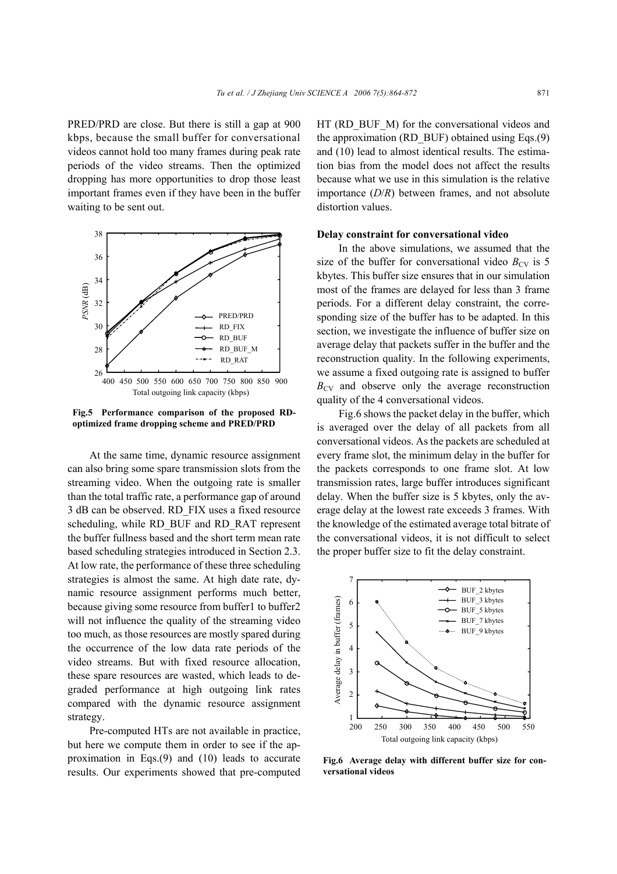PRED/PRD are close. But there is still a gap at 900 kbps, because the small buffer for conversational videos cannot hold too many frames during peak rate periods of the video streams. Then the optimized dropping has more opportunities to drop those least important frames even if they have been in the buffer waiting to be sent out.



**Fig.5 Performance comparison of the proposed RDoptimized frame dropping scheme and PRED/PRD** 

At the same time, dynamic resource assignment can also bring some spare transmission slots from the streaming video. When the outgoing rate is smaller than the total traffic rate, a performance gap of around 3 dB can be observed. RD\_FIX uses a fixed resource scheduling, while RD\_BUF and RD\_RAT represent the buffer fullness based and the short term mean rate based scheduling strategies introduced in Section 2.3. At low rate, the performance of these three scheduling strategies is almost the same. At high date rate, dynamic resource assignment performs much better, because giving some resource from buffer1 to buffer2 will not influence the quality of the streaming video too much, as those resources are mostly spared during the occurrence of the low data rate periods of the video streams. But with fixed resource allocation, these spare resources are wasted, which leads to degraded performance at high outgoing link rates compared with the dynamic resource assignment strategy.

Pre-computed HTs are not available in practice, but here we compute them in order to see if the approximation in Eqs.(9) and (10) leads to accurate results. Our experiments showed that pre-computed HT (RD\_BUF\_M) for the conversational videos and the approximation (RD\_BUF) obtained using Eqs.(9) and (10) lead to almost identical results. The estimation bias from the model does not affect the results because what we use in this simulation is the relative importance (*D*/*R*) between frames, and not absolute distortion values.

#### **Delay constraint for conversational video**

In the above simulations, we assumed that the size of the buffer for conversational video  $B_{CV}$  is 5 kbytes. This buffer size ensures that in our simulation most of the frames are delayed for less than 3 frame periods. For a different delay constraint, the corresponding size of the buffer has to be adapted. In this section, we investigate the influence of buffer size on average delay that packets suffer in the buffer and the reconstruction quality. In the following experiments, we assume a fixed outgoing rate is assigned to buffer  $B_{\rm CV}$  and observe only the average reconstruction quality of the 4 conversational videos.

Fig.6 shows the packet delay in the buffer, which is averaged over the delay of all packets from all conversational videos. As the packets are scheduled at every frame slot, the minimum delay in the buffer for the packets corresponds to one frame slot. At low transmission rates, large buffer introduces significant delay. When the buffer size is 5 kbytes, only the average delay at the lowest rate exceeds 3 frames. With the knowledge of the estimated average total bitrate of the conversational videos, it is not difficult to select the proper buffer size to fit the delay constraint.



**Fig.6 Average delay with different buffer size for conversational videos**